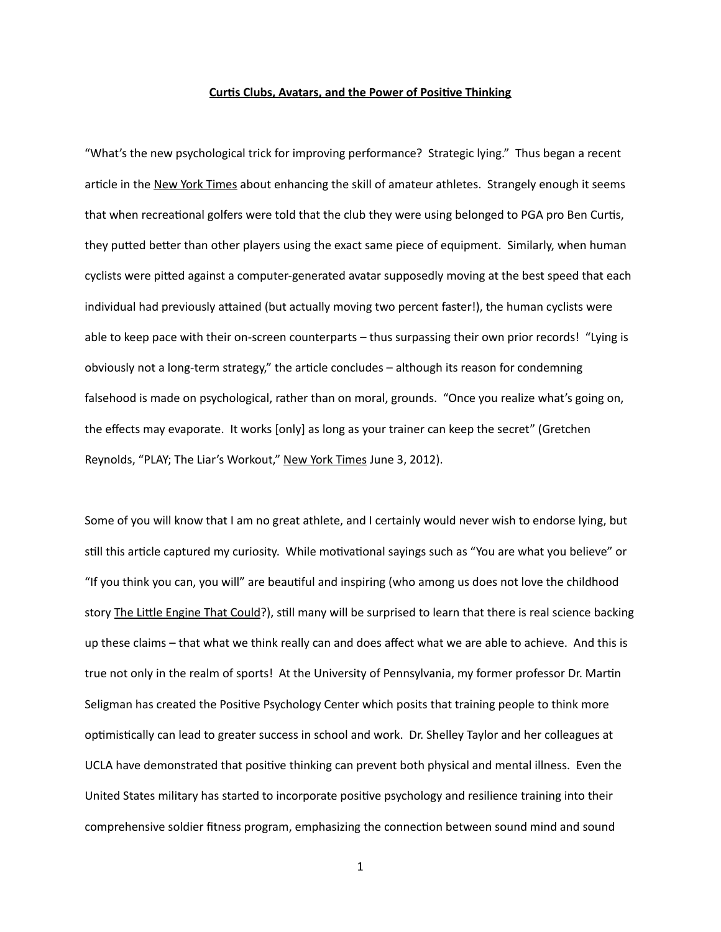## **Curtis Clubs, Avatars, and the Power of Positive Thinking**

"What's the new psychological trick for improving performance? Strategic lying." Thus began a recent article in the New York Times about enhancing the skill of amateur athletes. Strangely enough it seems that when recreational golfers were told that the club they were using belonged to PGA pro Ben Curtis, they putted better than other players using the exact same piece of equipment. Similarly, when human cyclists were pitted against a computer-generated avatar supposedly moving at the best speed that each individual had previously attained (but actually moving two percent faster!), the human cyclists were able to keep pace with their on-screen counterparts  $-$  thus surpassing their own prior records! "Lying is obviously not a long-term strategy," the article concludes – although its reason for condemning falsehood is made on psychological, rather than on moral, grounds. "Once you realize what's going on, the effects may evaporate. It works [only] as long as your trainer can keep the secret" (Gretchen Reynolds, "PLAY; The Liar's Workout," New York Times June 3, 2012).

Some of you will know that I am no great athlete, and I certainly would never wish to endorse lying, but still this article captured my curiosity. While motivational sayings such as "You are what you believe" or "If you think you can, you will" are beautiful and inspiring (who among us does not love the childhood story The Little Engine That Could?), still many will be surprised to learn that there is real science backing up these claims – that what we think really can and does affect what we are able to achieve. And this is true not only in the realm of sports! At the University of Pennsylvania, my former professor Dr. Martin Seligman has created the Positive Psychology Center which posits that training people to think more optimistically can lead to greater success in school and work. Dr. Shelley Taylor and her colleagues at UCLA have demonstrated that positive thinking can prevent both physical and mental illness. Even the United States military has started to incorporate positive psychology and resilience training into their comprehensive soldier fitness program, emphasizing the connection between sound mind and sound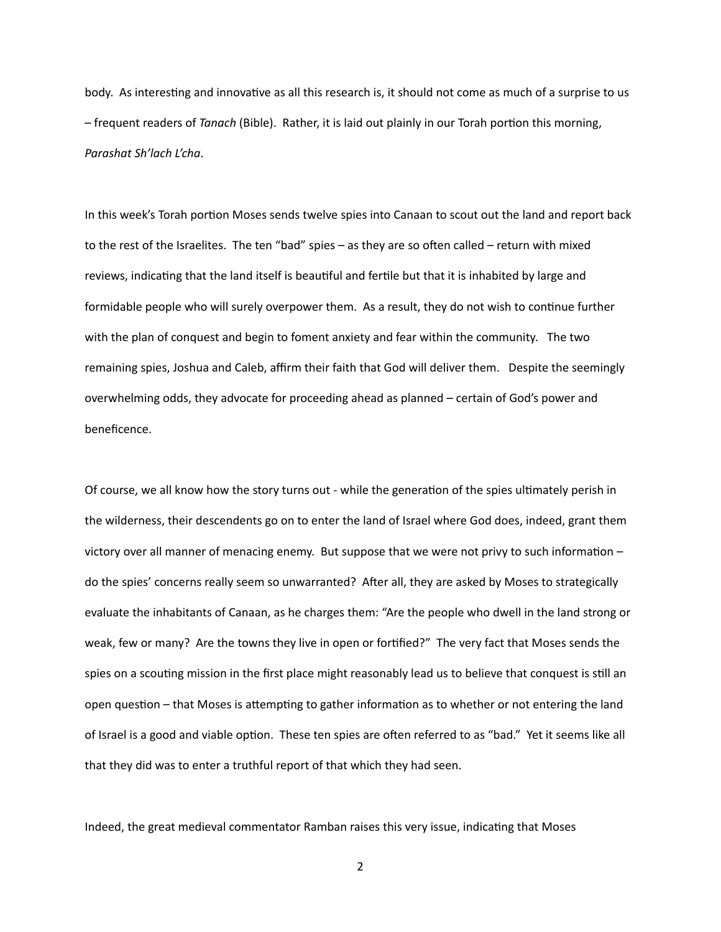body. As interesting and innovative as all this research is, it should not come as much of a surprise to us - frequent readers of *Tanach* (Bible). Rather, it is laid out plainly in our Torah portion this morning, *Parashat Sh'lach L'cha*. 

In this week's Torah portion Moses sends twelve spies into Canaan to scout out the land and report back to the rest of the Israelites. The ten "bad" spies – as they are so often called – return with mixed reviews, indicating that the land itself is beautiful and fertile but that it is inhabited by large and formidable people who will surely overpower them. As a result, they do not wish to continue further with the plan of conquest and begin to foment anxiety and fear within the community. The two remaining spies, Joshua and Caleb, affirm their faith that God will deliver them. Despite the seemingly overwhelming odds, they advocate for proceeding ahead as planned – certain of God's power and beneficence. 

Of course, we all know how the story turns out - while the generation of the spies ultimately perish in the wilderness, their descendents go on to enter the land of Israel where God does, indeed, grant them victory over all manner of menacing enemy. But suppose that we were not privy to such information  $$ do the spies' concerns really seem so unwarranted? After all, they are asked by Moses to strategically evaluate the inhabitants of Canaan, as he charges them: "Are the people who dwell in the land strong or weak, few or many? Are the towns they live in open or fortified?" The very fact that Moses sends the spies on a scouting mission in the first place might reasonably lead us to believe that conquest is still an open question – that Moses is attempting to gather information as to whether or not entering the land of Israel is a good and viable option. These ten spies are often referred to as "bad." Yet it seems like all that they did was to enter a truthful report of that which they had seen.

Indeed, the great medieval commentator Ramban raises this very issue, indicating that Moses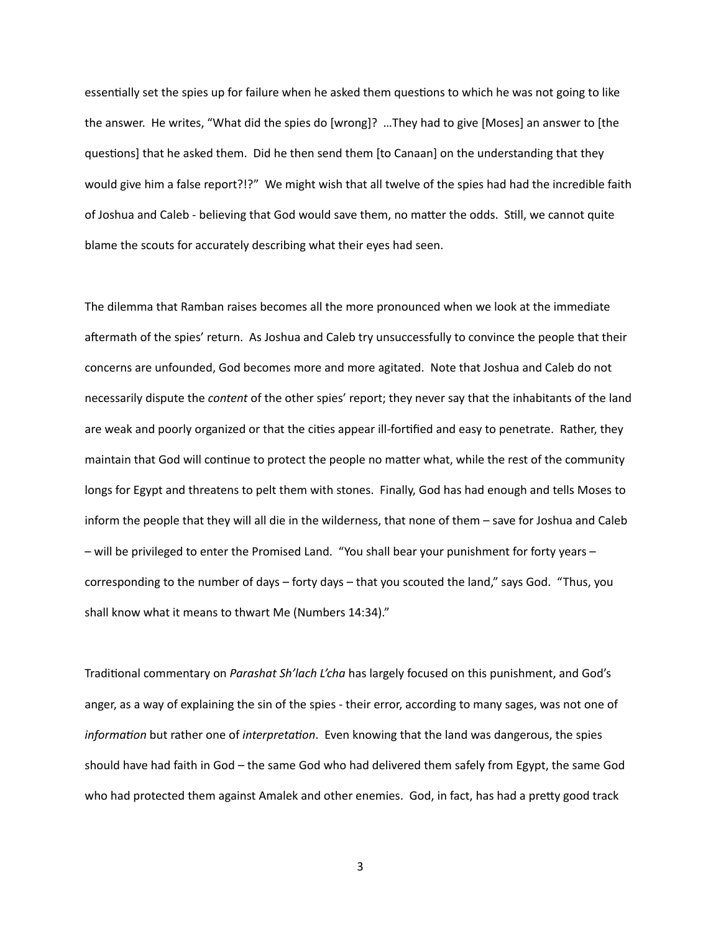essentially set the spies up for failure when he asked them questions to which he was not going to like the answer. He writes, "What did the spies do [wrong]? ...They had to give [Moses] an answer to [the questions] that he asked them. Did he then send them [to Canaan] on the understanding that they would give him a false report?!?" We might wish that all twelve of the spies had had the incredible faith of Joshua and Caleb - believing that God would save them, no matter the odds. Still, we cannot quite blame the scouts for accurately describing what their eyes had seen.

The dilemma that Ramban raises becomes all the more pronounced when we look at the immediate aftermath of the spies' return. As Joshua and Caleb try unsuccessfully to convince the people that their concerns are unfounded, God becomes more and more agitated. Note that Joshua and Caleb do not necessarily dispute the *content* of the other spies' report; they never say that the inhabitants of the land are weak and poorly organized or that the cities appear ill-fortified and easy to penetrate. Rather, they maintain that God will continue to protect the people no matter what, while the rest of the community longs for Egypt and threatens to pelt them with stones. Finally, God has had enough and tells Moses to inform the people that they will all die in the wilderness, that none of them – save for Joshua and Caleb - will be privileged to enter the Promised Land. "You shall bear your punishment for forty years corresponding to the number of days – forty days – that you scouted the land," says God. "Thus, you shall know what it means to thwart Me (Numbers 14:34)."

Traditional commentary on *Parashat Sh'lach L'cha* has largely focused on this punishment, and God's anger, as a way of explaining the sin of the spies - their error, according to many sages, was not one of *information* but rather one of *interpretation*. Even knowing that the land was dangerous, the spies should have had faith in God - the same God who had delivered them safely from Egypt, the same God who had protected them against Amalek and other enemies. God, in fact, has had a pretty good track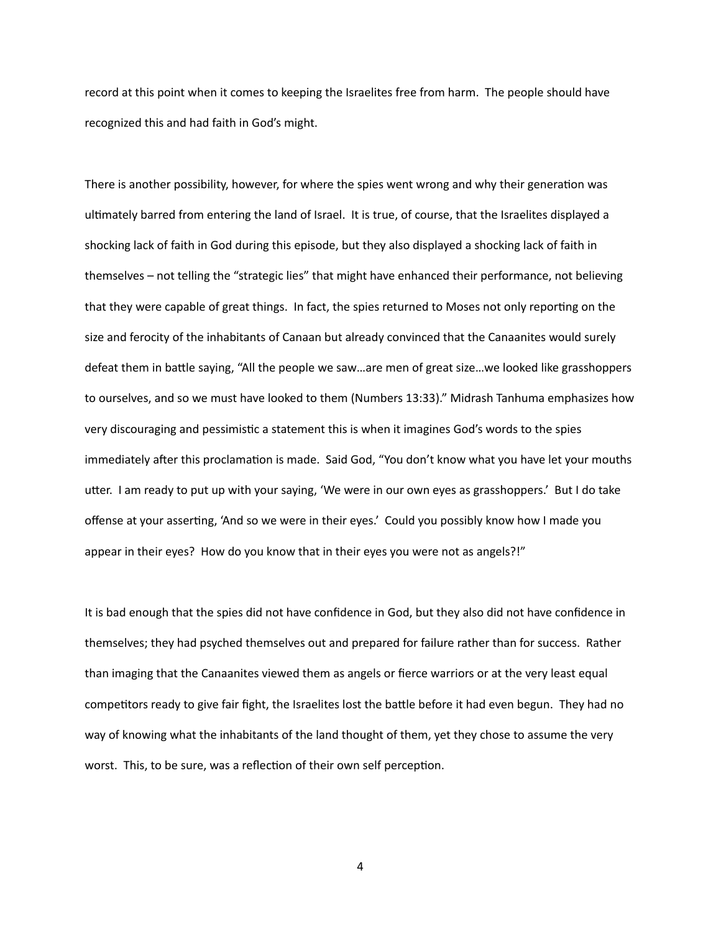record at this point when it comes to keeping the Israelites free from harm. The people should have recognized this and had faith in God's might.

There is another possibility, however, for where the spies went wrong and why their generation was ultimately barred from entering the land of Israel. It is true, of course, that the Israelites displayed a shocking lack of faith in God during this episode, but they also displayed a shocking lack of faith in themselves – not telling the "strategic lies" that might have enhanced their performance, not believing that they were capable of great things. In fact, the spies returned to Moses not only reporting on the size and ferocity of the inhabitants of Canaan but already convinced that the Canaanites would surely defeat them in battle saying, "All the people we saw...are men of great size...we looked like grasshoppers to ourselves, and so we must have looked to them (Numbers 13:33)." Midrash Tanhuma emphasizes how very discouraging and pessimistic a statement this is when it imagines God's words to the spies immediately after this proclamation is made. Said God, "You don't know what you have let your mouths utter. I am ready to put up with your saying, 'We were in our own eyes as grasshoppers.' But I do take offense at your asserting, 'And so we were in their eyes.' Could you possibly know how I made you appear in their eyes? How do you know that in their eyes you were not as angels?!"

It is bad enough that the spies did not have confidence in God, but they also did not have confidence in themselves; they had psyched themselves out and prepared for failure rather than for success. Rather than imaging that the Canaanites viewed them as angels or fierce warriors or at the very least equal competitors ready to give fair fight, the Israelites lost the battle before it had even begun. They had no way of knowing what the inhabitants of the land thought of them, yet they chose to assume the very worst. This, to be sure, was a reflection of their own self perception.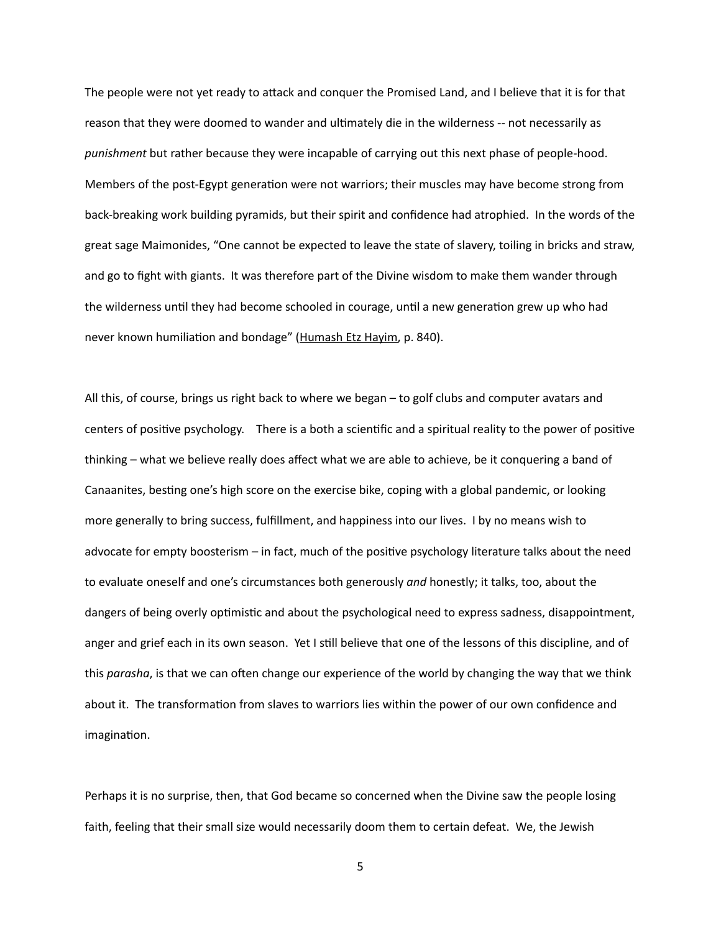The people were not yet ready to attack and conquer the Promised Land, and I believe that it is for that reason that they were doomed to wander and ultimately die in the wilderness -- not necessarily as punishment but rather because they were incapable of carrying out this next phase of people-hood. Members of the post-Egypt generation were not warriors; their muscles may have become strong from back-breaking work building pyramids, but their spirit and confidence had atrophied. In the words of the great sage Maimonides, "One cannot be expected to leave the state of slavery, toiling in bricks and straw, and go to fight with giants. It was therefore part of the Divine wisdom to make them wander through the wilderness until they had become schooled in courage, until a new generation grew up who had never known humiliation and bondage" (Humash Etz Hayim, p. 840).

All this, of course, brings us right back to where we began – to golf clubs and computer avatars and centers of positive psychology. There is a both a scientific and a spiritual reality to the power of positive thinking – what we believe really does affect what we are able to achieve, be it conquering a band of Canaanites, besting one's high score on the exercise bike, coping with a global pandemic, or looking more generally to bring success, fulfillment, and happiness into our lives. I by no means wish to advocate for empty boosterism  $-$  in fact, much of the positive psychology literature talks about the need to evaluate oneself and one's circumstances both generously and honestly; it talks, too, about the dangers of being overly optimistic and about the psychological need to express sadness, disappointment, anger and grief each in its own season. Yet I still believe that one of the lessons of this discipline, and of this *parasha*, is that we can often change our experience of the world by changing the way that we think about it. The transformation from slaves to warriors lies within the power of our own confidence and imagination.

Perhaps it is no surprise, then, that God became so concerned when the Divine saw the people losing faith, feeling that their small size would necessarily doom them to certain defeat. We, the Jewish